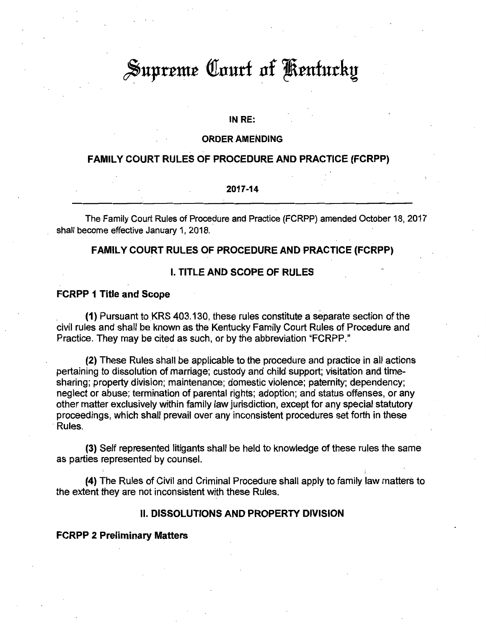# Supreme Court of Kentucky

## IN RE:

## ORDER AMENDING

# FAMILY COURT RULES OF PROCEDURE AND PRACTICE (FCRPP)

## 2017-14

The Family Court Rules of Procedure and Practice (FCRPP) amended October 18, 2017 shall become effective January 1, 2018.

# FAMILY COURT RULES OF PROCEDURE AND PRACTICE (FCRPP)

## I. TITLE AND SCOPE OF RULES

#### FCRPP 1 Title and Scope

(1) Pursuant to KRS 403.130, these rules constitute a separate section of the civil rules and shall be known as the Kentucky Family Court Rules of Procedure and Practice. They may be cited as such, or by the abbreviation "FCRPP."

(2) These Rules shall be applicable to the procedure and practice in all actions pertaining to dissolution of marriage; custody and child support; visitation and timesharing; property division; maintenance; domestic violence; paternity; dependency; neglect or abuse; termination of parental rights; adoption; and status offenses, or any other matter exclusively within family law jurisdiction, except for any special statutory proceedings, which shall prevail over any inconsistent procedures set forth in these Rules.

(3) Self represented litigants shall be held to knowledge of these rules the same as parties represented by counsel.

(4) The Rules of Civil and Criminal Procedure shall apply to family law matters to the extent they are not inconsistent with these Rules.

(

#### II. DISSOLUTIONS AND PROPERTY DIVISION

# FCRPP 2 Preliminary Matters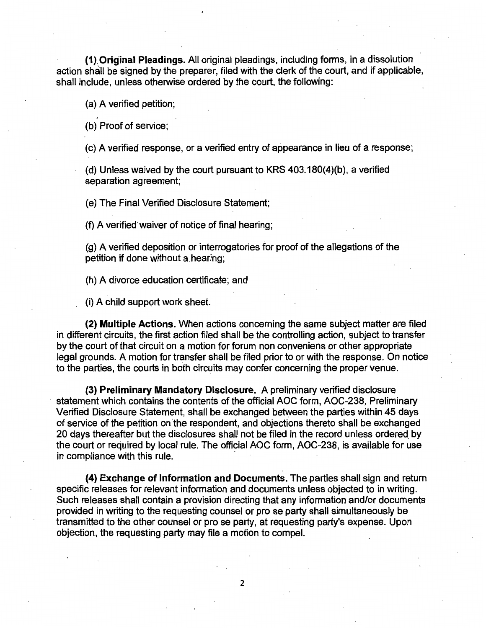· **(1 ). Original Pleadings.** All original pleadings, including forms, in a dissolution action shall be signed by the preparer, filed with the clerk of the court, and if applicable, shall include, unless otherwise ordered by the court, the following:

(a) A verified petition;

(b) Proof of service;

(c) A verified response, or a verified entry of appearance in lieu of a response;

(d) Unless waived by the court pursuant to KRS 403.180(4)(b), a verified separation agreement;

(e) The Final Verified Disclosure Statement;

(f) A verified waiver of notice of final hearing;

(g) A verified deposition or interrogatories for proof of the allegations of the petition if done without a. hearing;

(h) A divorce education certificate; and

(i) A child support work sheet.

**(2) Multiple Actions.** When actions concerning the same subject matter are filed in different circuits, the first action filed shall be the controlling action, subject to transfer by the court of that circuit on a motion for forum non conveniens or other appropriate legal grounds. A motion for transfer shall be filed prior to or with the response. On notice to the parties, the courts in both circuits may confer concerning the proper venue.

(3) **Preliminary. Mandatory Disclosure. A** preliminary verified disclosure statement which contains the contents of the official AOC form, AOC-238, Preliminary Verified Disclosure Statement, shall be exchanged between the parties within 45 days of service of the petition on 'the respondent, and objections thereto shall be exchanged 20 days thereafter but the disclosures shall not be filed in the record unless ordered by the court or required by local rule. The official AOC form, AOC-238, is available for use in compliance with this rule.

**(4) Exchange of Information and Documents.** The parties shall sign and return specific releases for relevant information and documents unless objected to in writing . . Such releases shall contain a provision directing that any information and/or documents provided in writing to the requesting counsel or pro se party shall simultaneously be transmitted to the other counsel or pro se party, at requesting party's expense. Upon objection, the requesting party may file a motion to compel.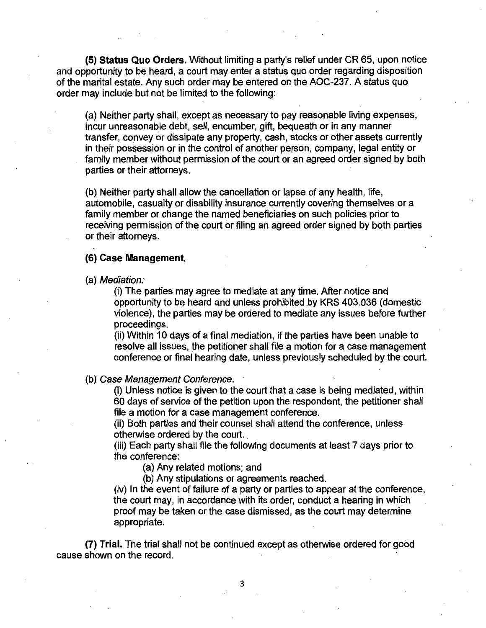(5) Status Quo Orders. Without limiting a party's relief under CR 65, upon notice and opportunity to be heard, a court may enter a status quo order regarding disposition of the marital estate. Any such order may be entered on the AOC-237. A status quo order may include but not be limited to the following:

(a) Neither party shall, except as necessary to pay reasonable living expenses, incur unreasonable debt, sell, encumber, gift, bequeath or in any manner transfer, convey or dissipate any property, cash, stocks or other assets currently in their possession or in the control of another person, company, legal entity or family member without permission of the court or an agreed order signed by both parties or their attorneys.

(b) Neither party shall allow the cancellation or lapse of any health, life, automobile, casualty or disability insurance currently covering themselves or a family member or change the named beneficiaries on such policies prior to receiving permission of the court or filing an agreed order signed by both parties or their attorneys.

## (6) Case Management.

(a) Mediation.~

(i) The parties may agree to mediate at any time. After notice and opportunity to be heard and unless prohibited by KRS 403.036 (domestic violence), the parties may be ordered to mediate any issues before further proceedings.

(ii) Within 10 days of a final mediation, if the parties have been unable to resolve all issues, the petitioner shall file a motion for a case management conference or final hearing date, unless previously scheduled by the court.

(b) Case Management Conference:

(i) Unless notice is given to the court that a case is being mediated, within 60 days of service of the petition upon the respondent, the petitioner shall file a motion for a case management conference.

(ii) Both parties and their counsel shall attend the conference, unless otherwise ordered by the court.

(iii) Each party shall file the following documents at least 7 days prior to the conference:

(a) Any related motions; and

(b) Any stipulations or agreements reached.

(iv) In the event of failure of a party or parties to appear at the conference, the court may, in accordance with its order, conduct a hearing in which proof may be taken or the case dismissed, as the court may determine appropriate.

(7) Trial. The trial shall not be continued except as otherwise ordered for good cause shown on the record.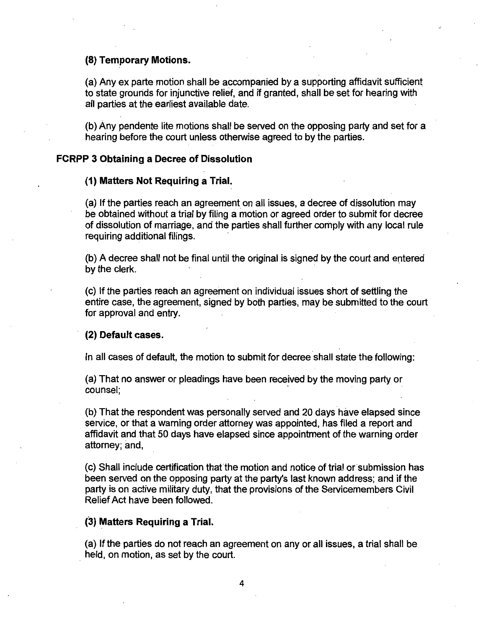## (8) Temporary Motions.

(a) Any ex parte motion shall be accompanied by a supporting affidavit sufficient to state grounds for injunctive relief, and if granted, shall be set for hearing with all parties at the earliest available date.

(b) Any pendente lite motions shall be served on the opposing party and set for a hearing before the court unless otherwise agreed to by the parties.

## FCRPP 3 Obtaining a Decree of Dissolution

## (1) Matters Not Requiring a Trial.

(a) If the parties reach an agreement on all issues, a decree of dissolution may be obtained without a trial by filing a motion or agreed order to submit for decree of dissolution of marriage, and the parties shall further comply with any local rule requiring additional filings.

(b) A decree shall not be final until the original is signed by the court and eritered by the clerk.

(c) If the parties reach an agreement on individual issues short of settling the entire case, the agreement, signed by both parties, may be submitted to the court for approval and entry.

## (2) Default cases.

In all cases of default, the motion to submit for decree shall state the following:

(a) That no answer or pleadings have been received by the moving party or counsel:

(b) That the respondent was personally served and 20 days have elapsed since service, or that a warning order attorney was appointed, has filed a report and affidavit and that 50 days have elapsed since appointment of the warning order attorney; and,

(c) Shall include certification that the motion and notice of trial or submission has been served on the opposing party at the party's last known address; and if the party is on active military duty, that the provisions of the Servicemembers Civil Relief Act have been followed.

## (3) Matters Requiring a Trial.

(a) If the parties do not reach an agreement on any or all issues, a trial shall be held, on motion, as set by the court.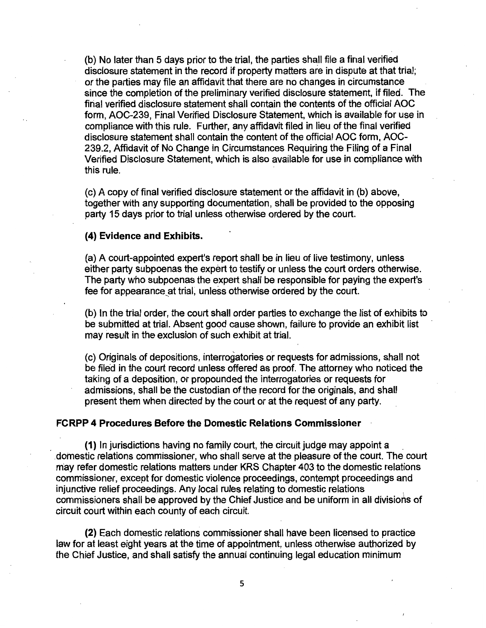(b) No later than 5 days prior to the trial, the parties shall file a final verified disclosure statement in the record if property matters are in dispute at that trial; or the parties may file an affidavit that there are no changes in circumstance since the completion of the preliminary verified disclosure statement, if filed. The final verified disclosure statement shall contain the contents of the official AOC form, AOC-239, Final Verified Disclosure Statement, which is available for use in compliance with this rule. Further, any affidavit filed in lieu of the final verified disclosure statement shall contain the content of the official AOC form, AOC-239.2, Affidavit of No Change in Circumstances Requiring the Filing of a Final Verified Disclosure Statement, which is also available for use in compliance with this rule.

(c) A copy of final verified disclosure statement or the affidavit in (b) above, together with any supporting documentation, shall be provided to the opposing party 15 days prior to trial unless otherwise ordered by the court.

# **(4) Evidence and Exhibits.**

(a) A court-appointed expert's report shall be in lieu of live testimony, unless either party subpoenas the expert to testify or unless the court orders otherwise. The party who subpoenas the expert shall be responsible for paying the expert's fee for appearance at trial, unless otherwise ordered by the court.

(b) In the trial order, the court shall order parties to exchange the list of exhibits to be submitted at trial. Absent good cause shown, failure to provide an exhibit list may result in the exclusion of such exhibit at trial.

(c) Originals of depositions, interrogatories or requests for admissions, shall not be filed in the court record unless offered as proof. The attorney who noticed the taking of a deposition, or propounded the interrogatories or requests for admissions, shall be the custodian of the record for the originals, and shall present them when directed by the court or at the request of any party.

# **FCRPP 4 Procedures Before the Domestic Relations Commissioner**

**(1)** In jurisdictions having no family court, the circuit judge may appoint a . . domestic relations commissioner, who shall serve at the pleasure of the court. The court m'ay refer domestic relations matters under KRS Chapter 403 to the domestic relations commissioner, except for domestic violence proceedings, contempt proceedings and injunctive relief proceedings. Any local rules relating to domestic relations commissioners shall be approved by the Chief Justice and be uniform in all divisions of circuit court within each county of each circuit.

**(2)** Each domestic relations commissioner shall have been licensed to practice law for at least eight years at the time of appointment, unless otherwise authorized by the Chief Justice, and shall satisfy the annual continuing legal education minimum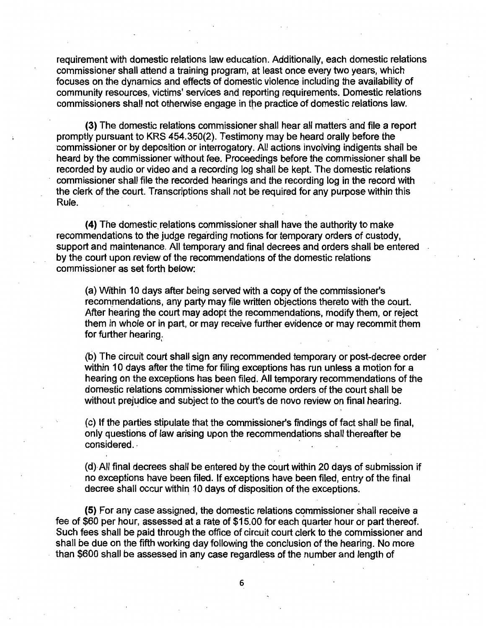requirement with domestic relations law education. Additionally, each domestic relations commissioner shall attend a training program, at least once every two years, which focuses on the dynamics and effects of domestic violence including the availability of community resources, victims' services and reporting requirements. Domestic relations commissioners shall not otherwise engage in the practice of domestic relations law.

(3) The domestic relations commissioner shall hear all matters and file a report promptly pursuant to KRS 454.350(2). Testimony may be heard orally before the -commissioner or by deposition or interrogatory. All actions involving indigents shall be heard by the commissioner without fee. Proceedings before the commissioner shall be recorded by audio or video and a recording log shall be kept. The domestic relations commissioner shall file the recorded hearings and the recording log in the record with the clerk of the court. Transcriptions shall not be required for any purpose within this Rule.

(4) The domestic. relations commissioner shall have the authority to make recommendations to the judge regarding motions for temporary orders of custody, support and maintenance. All temporary and final decrees and orders shall be entered by the court upon review of the recommendations of the domestic relations commissioner as set forth below:

(a) Within 10 days after being served with a copy of the commissioner's recommendations, any party may file written objections thereto with the court. After hearing the court may adopt the recommendations, modify them, or reject them in whole or in part, or may receive further evidence or may recommit them for further hearing,.

(b) The circuit court shall sign any recommended temporary or post-decree order within 10 days after the time for filing exceptions has run unless a motion for a hearing on the exceptions has been filed. All temporary recommendations of the domestic relations commissioner which become orders of the court shall be without prejudice and subject to the court's de novo review on final hearing.

(c) If the parties stipulate that the commissioner's findings of fact shall be final, only questions of law arising upon the recommendations shall thereafter be considered. . ·

(d)-All final decrees shall be entered by the court within 20 days of submission if no exceptions have been filed. If exceptions have been filed, entry of the final decree shall occur within 10 days of disposition of the exceptions.

(5) For any case assigned, the domestic relations commissioner shall receive a fee of \$60 per hour, assessed at a rate of \$15.00 for each quarter hour or part thereof. Such fees shall be paid through the office of circuit court clerk to the commissioner and shall be due on the fifth working day following the conclusion of the hearing. No more than \$600 shall be assessed in any case regardless of the number and length of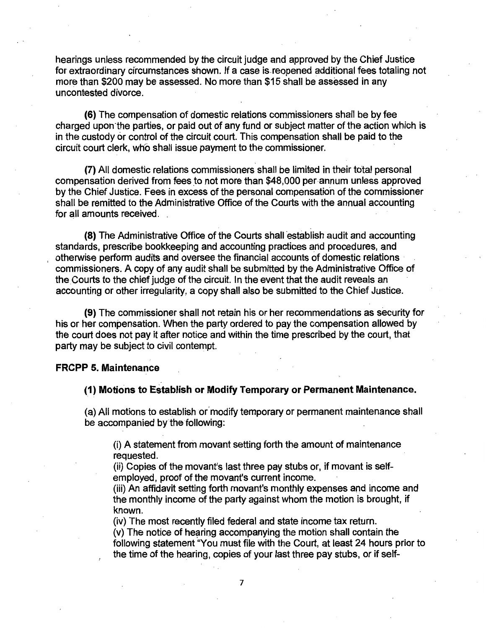hearings unless recommended by the circuit judge and approved by the Chief Justice for extraordinary circumstances shown. If a case is.reopened additional fees totaling not more than \$200 may be assessed. No more than \$15 shall be assessed in any uncontested divorce.

**(6)** The compensation of domestic relations commissioners shall be by fee charged upon·the parties, or paid out of any fund or subject matter of the action which is in the custody 6r control of the circuit court. This compensation shall be paid to the circuit court clerk, who shall issue payment to the commissioner.

**(7)** All domestic relations commissioners shall be limited in their total personal compensation derived from fees to not more than \$48,000 per annum unless approved by the Chief Justice. Fees in excess of the personal compensation of the commissioner shall be remitted to the Administrative Office of the Courts with the annual accounting for all amounts received. .

**(8)** The Administrative Office of the Courts shall establish audit and accounting standards, prescribe bookkeeping and accounting practices and procedures, and otherwise perform audits and oversee the financial accounts of domestic relations · commissioners. A copy of any audit shall be submitted by the Administrative Office of the Courts to the chief judge of the circuit. In the event that the audit reveals an accounting or other irregularity, a copy shall also be submitted to the Chief Justice.

**(9)** The commissioner shall not retain his or her recommendations as security for his or her compensation. When the party ordered to pay the compensation allowed by the court does not pay it after notice and within the time prescribed by the court, that party may be subject to civil contempt.

## **FRCPP 5. Maintenance**

**(1) Motions to Establish or Modify Temporary or Permanent Maintenance.** 

(a) All motions to establish or modify temporary or permanent maintenance shall be accompanied by the following:

(i) A statement from movant setting forth the amount of maintenance requested.

(ii) Copies of the movant's last three pay stubs or, if movant is selfemployed, proof of the movant's current income.

(iii) An affidavit setting forth movant's monthly expenses and income and the monthly income of the party against whom the motion is brought, if known.

(iv) The most recently filed federal and state income tax return.

(v) The notice of hearing accompanying the motion shall contain the following statement "You must file with the Court, at least 24 hours prior to the time of the hearing, copies of your last three pay stubs, or if self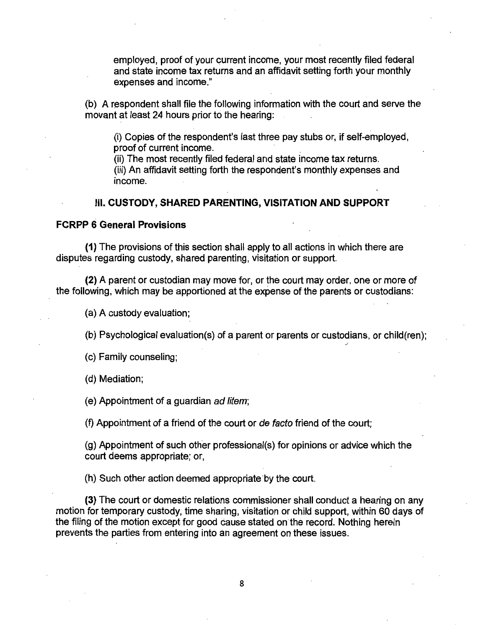employed, proof of your current income, your most recently filed federal and state income tax returns and an affidavit setting forth your monthly expenses and income."

(b) A respondent shall file the following information with the court and serve the movant at least 24 hours prior to the hearing:

(i) Copies of the respondent's last three pay stubs or, if self-employed, proof of current income. .

(ii) The most recently filed federal and state income tax returns. (iii) An affidavit setting forth the respondent's monthly expenses and

income.

# Ill. **CUSTODY, SHARED PARENTING, VISITATION AND SUPPORT**

## **FCRPP 6 General Provisions**

**(1)** The provisions of this section shall apply to all actions in which there are disputes regarding custody, shared parenting, visitation or support.

**(2) A** parent or custodian may move for, or the court may order, one or more of the following, which may be apportioned at the expense of the parents or custodians:

(a) A custody evaluation;

(b) Psychological evaluation(s) of a parent or parents or custodians, or child(ren);

 $\overline{\phantom{a}}$ 

(c) Family counseling;

(d) Mediation;

(e) Appointment of a guardian ad litem;

(f) Appointment of a friend of the court or de facto friend of the court;

(g) Appointment of such other professional(s) for opinions or advice which the court deems appropriate; or,

(h) Such other action deemed appropriate by the court.

(3) The court or domestic relations commissioner shall conduct a hearing on any motion for temporary custody, time sharing, visitation or child support, within 60 days of the filing of the motion except for good cause stated on the record. Nothing herein prevents the parties from entering into an agreement on these issues.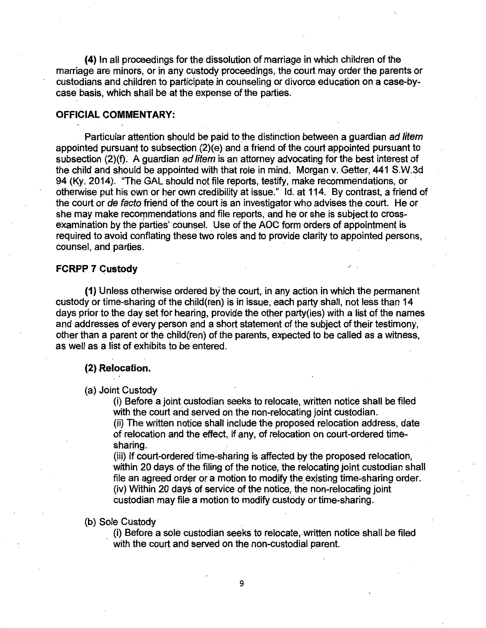(4) In all proceedings for the dissolution of marriage in which children of the marriage are minors, or in any custody proceedings, the court may order the parents or custodians and children to participate in counseling or divorce education on a case-bycase basis, which shall be at the expense of the parties.

# OFFICIAL COMMENTARY:

Particular attention should be paid to the distinction between a guardian ad litem appointed pursuant to subsection (2)(e) and a friend of the court appointed pursuant to subsection (2)(f). A quardian ad litem is an attorney advocating for the best interest of the child and should be appointed with that role in mind. Morgan v. Getter, 441 S.W.3d 94 (Ky. 2014). "The GAL should not file reports, testify, make recommendations, or otherwise put his own or her own credibility at issue." Id. at 114. By contrast, a friend of the court or de facto friend of the court is an investigator who advises the court. He or she may make recommendations and file reports, and he or she is subject to crossexamination by the parties' counsel. Use of the AOC form orders of appointment is required to avoid conflating these two roles and to provide clarity to appointed persons, counsel, and parties.

# **FCRPP 7 Custody**

(1) Unless otherwise ordered by the court, in any action in which the permanent custody or time-sharing of the child(ren) is in issue, each party shall, not less than 14 days prior to the day set for hearing, provide the other party(ies) with a list of the names and addresses of every person and a short statement of the subject of their testimony, other than a parent or the child(ren) of the parents, expected to be called as a witness, as well as a list of exhibits to be entered.

#### (2) Relocation.

(a) Joint Custody

(i) Before a joint custodian seeks to relocate, Written notice shall be filed with the court and served on the non-relocating joint custodian.

(ii) The written notice shall include the proposed relocation address, date of relocation and the effect, if any, of relocation on court-ordered timesharing.

(iii) If court-ordered time-sharing is affected by the proposed relocation, within 20 days of the filing of the notice, the relocating joint custodian shall file an agreed order or a motion to modify the existing time-sharing order. (iv) Within 20 days of service of the notice, the non-relocating joint custodian may file a motion to modify custody or time-sharing.

## (b) Sole Custody

(i) Before a sole custodian seeks to relocate, written notice shall be filed with the court and served on the non-custodial parent.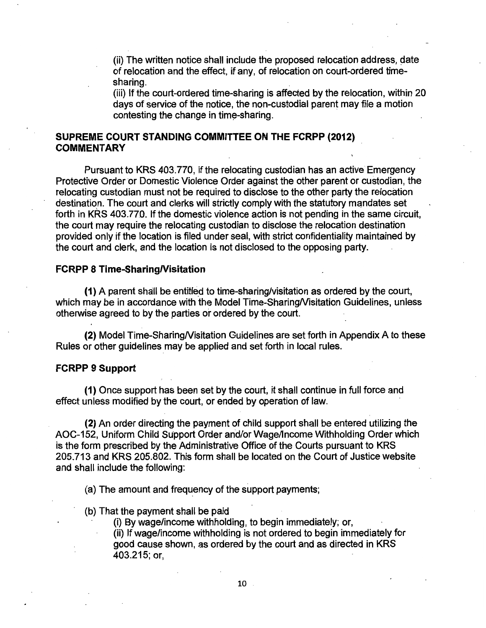(ii) The written notice shall include the proposed relocation address, date of relocation and the effect, if any, of relocation on court-ordered timesharing. .

(iii) If the court-ordered time-sharing is affected by the relocation, within 20 days of service of the notice, the non-custodial parent may file a motion contesting the change in time-sharing.

# **SUPREME COURT STANDING COMMITTEE ON THE FCRPP (2012) COMMENTARY**

Pursuant to KRS 403. 770, if the relocating custodian has an active Emergency Protective Order or Domestic Violence Order against the other parent or custodian, the relocating custodian must not be required to disclose to the other party the relocation destination. The court and clerks will strictly comply with the statutory mandates set forth in KRS 403.770. If the domestic violence action is not pending in the same circuit, the court may require the relocating custodian to disclose the relocation destination provided only if the location is filed under seal, with strict confidentiality maintained by the court and clerk, and the location is not disclosed to the opposing party.

## **FCRPP 8 Time-SharingNisitation**

**(1)** A parent shall be entitled to time-sharing/visitation as ordered by the court, which may be in accordance with the Model Time-Sharing/Visitation Guidelines, unless otherwise agreed to by the parties or ordered by the court.

**(2)** Model Time-SharingNisitation Guidelines are set forth in Appendix A to these Rules or other guidelines may be applied and set forth in local rules.

# **FCRPP 9 Support**

**(1)** Once support has been set by the court, it shall continue in full force and effect unless modified by the court, or ended by operation of law.

**(2)** An order directing the payment of child support shall be entered utilizing the AOC-152, Uniform Child Support Order and/or Wage/Income Withholding Order which is the form prescribed by the Administrative Office of the Courts pursuant to KRS 205.713 and KRS 205.802. This form shall be located on the Court of Justice website and shall include the following:

(a) The amount and frequency of the support payments;

- (b) That the payment shall be paid
	- (i) By wage/income withholding, to begin immediately; or,

(ii) If wage/income withholding is not ordered to begin immediately for good cause shown, as ordered by the court and as directed in KRS 403.215; or,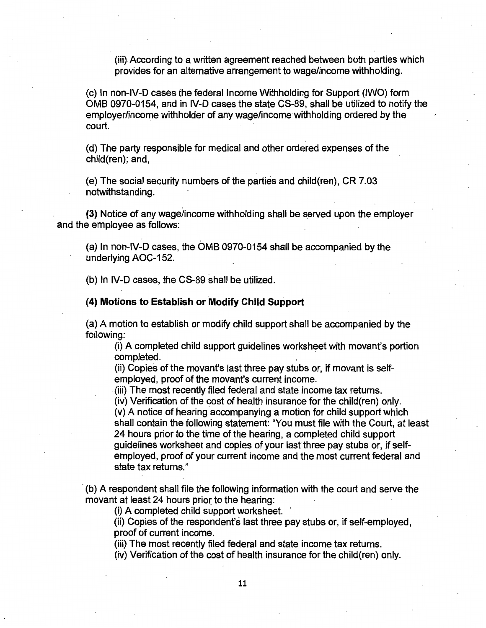(iii) According to a written agreement reached between both parties which provides for an alternative arrangement to wage/income withholding.

(c) In non-IV-D cases the federal Income Withholding for Support (IWO) form OMB 0970-0154, and in IV-D cases the state CS-89, shall be utilized to notify the employer/income withholder of any wage/income withholding ordered by the court.

(d) The party responsible for medical and other ordered expenses of the child(ren); and,

(e) The social security numbers of the parties and child(ren), CR 7.03 notwithstanding.

(3) Notice of any wage/income withholding shall be served upon the employer and the employee as follows:

(a) In non-IV-D cases, the OMB 0970-0154 shall be accompanied by the underlying AOC-152.

(b) In IV-D cases, the CS-89 shall be utilized.

# **(4) Motions to Establish or ·Modify Child Support**

(a) A motion to establish or modify child support shall be accompanied by the following:

(i) A completed child support guidelines worksheet with movant's portion completed.

(ii) Copies of the movant's last three pay stubs or, if movant is selfemployed, proof of the movant's current income.

. (iii) The most recently filed federal and state income tax returns.

(iv) Verification of the cost of health insurance for the child(ren) only. (v) A notice of hearing accompanying a motion for child support which shall contain the following statement: "You must file with the Court, at least 24 hours prior to the time of the hearing, a completed child support guidelines worksheet and copies of your last three pay stubs or, if selfemployed, proof of your current income and the most current federal and state tax returns."

· (b) A respondent shall file the following information with the court and serve the movant at least 24 hours prior to the hearing:

(i) A completed child support worksheet. '

(ii) Copies of the respondent's last three pay stubs or, if self-employed, proof of current income.

(iii) The most recently filed federal and state income tax returns.

(iv) Verification of the cost of health insurance for the child(ren) only.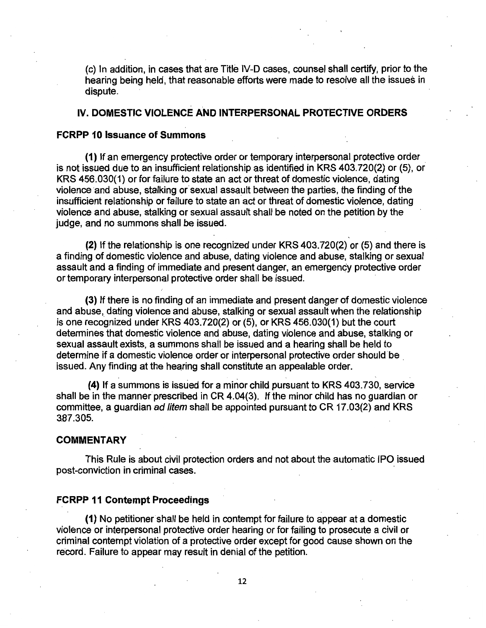(c) In addition, in cases that are Title IV-D cases, counsel shall certify, prior to the hearing being held, that reasonable efforts were made to resolve all the issues in dispute.

## IV. DOMESTIC VIOLENCE AND INTERPERSONAL PROTECTIVE ORDERS

#### FCRPP 10 Issuance of Summons

(1) If an emergency protective order or temporary interpersonal protective order is not issued due to an insufficient relationship as identified in KRS 403.720(2) or (5), or· KRS 456.030(1) or for failure to state an act or threat of domestic violence, dating violence and abuse, stalking or sexual assault between the parties, the finding of the insufficient relationship or failure to state an act or threat of domestic violence, dating violence and abuse, stalking or sexual assault shall be noted on the petition by the judge, and no summons shall be issued.

(2) If the relationship is one recognized under KRS 403.720(2) or (5) and there is a finding of domestic violence and abuse, dating violence and abuse, stalking or sexual assault and a finding of immediate and present danger, an emergency protective order or temporary interpersonal protective order shall be issued.

(3) If there is no finding of an immediate and present danger of domestic violence and abuse, dating violence and abuse, stalking or sexual assault when the relationship is one recognized under KRS 403.720(2) or (5), or KRS 456.030(1) but the court determines that domestic violence and abuse, dating violence and abuse, stalking or sexual assault exists, a summons shall be issued and a hearing shall be held to determine if a domestic violence order or interpersonal protective order should be issued. Any finding at the hearing shall constitute an appealable order.

(4) If a summons is issued for a minor child pursuant to KRS 403.730, service shall be in the manner prescribed in CR 4.04(3). If the minor child has no guardian or committee, a guardian ad litem shall be appointed pursuant to CR 17.03(2) and KRS 3.87.305.

#### **COMMENTARY**

This Rule is about civil protection orders and not about the automatic IPO issued post-conviction in criminal cases.

#### FCRPP 11 Contempt Proceedings

(1) No petitioner shall be held in contempt for failure to appear at a domestic violence or interpersonal protective order hearing or for failing to prosecute a civil or criminal contempt violation of a protective order except for good cause shown on the record. Failure to appear may result in denial of the petition.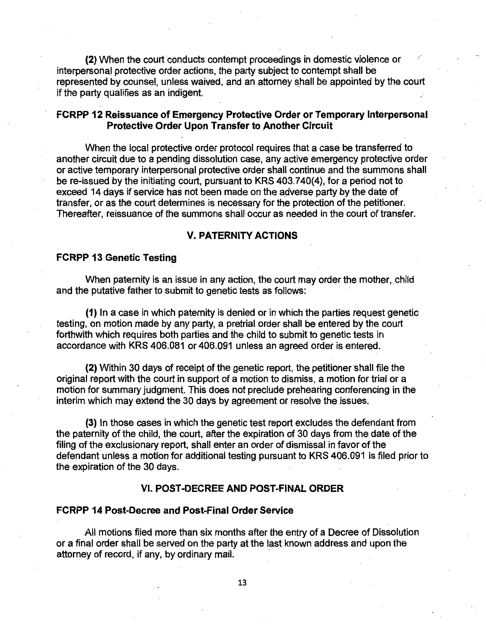**(2)** When the court conducts contempt proceedings in domestic violence or interpersonal protective order actions, the party subject to contempt shall be represented by counsel, unless waived, and an attorney shall be appointed by the court if the party qualifies as an indigent.

# **FCRPP 12 Reissuance of Emergency Protective Order or Temporary Interpersonal Protective Order Upon Transfer to Another Circuit**

When the local protective order protocol requires that a case be transferred to another circuit due to a pending dissolution case, any active emergency protective order or active temporary interpersonal protective order shall continue and the summons shall be re-issued by the initiating court, pursuant to KRS 403.740(4), for a period not to exceed 14 days if service has not been made on the adverse party by the date of transfer, or as the court determines is necessary for the protection of the petitioner. Thereafter, reissuance of the summons shall occur as needed in the court of transfer.

# **V. PATERNITY ACTIONS**

# **FCRPP 13 Genetic Testing**

When paternity is an issue in any action, the court may order the mother, child and the putative father to submit to genetic tests as follows:

**(1)** In a case in which paternity is denied or in which the parties request genetic testing, on motion made by any party, a pretrial order shall be entered by the court forthwith which requires both parties and the child to submit to genetic tests in accordance with KRS 406.081 or 406.091 unless an agreed order is entered.

**(2)** Within 30 days of receipt of the genetic report, the petitioner shall file the original report with the court in support of a motion to dismiss, a motion for trial or a motion for summary judgment. This does not preclude prehearing conferencing in the interim which may extend the 30 days by agreement or resolve the issues.

**(3)** In those cases in which the genetic test report excludes the defendant from the paternity of the child, the court, after the expiration of 30 days from the date of the filing of the exclusionary report, shall enter an order of dismissal. in favor of the defendant' unless a motion for additional testing pursuant to KRS 406. 091 is filed prior to the expiration of the 30 days.

# **VI. POST-DECREE AND POST-FINAL ORDER**

## **FCRPP 14 Post-Decree and Post-Final Order Service**

All motions filed more than six months after the entry of a Decree of Dissolution or a final order shall be served on the party at the last known address and upon the attorney of record, if any, by ordinary mail.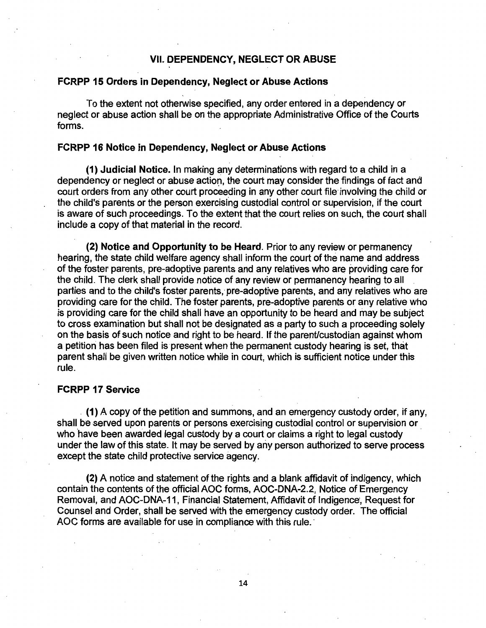# VII. **DEPENDENCY, NEGLECT OR ABUSE**

# **FCRPP 15 Orders in Dependency, Neglect or Abuse Actions**

To the extent not otherwise specified, any order entered in a dependency or neglect or abuse action shall be on the appropriate Administrative Office of the Courts forms.

# **FCRPP 16 Notice in Dependency, Neglect or Abuse Actions**

**(1) Judicial Notice.** In making any determinations with regard to a child in a dependency or neglect or abuse action, the court may consider the findings of fact and court orders from any other court proceeding in any other court file· involving the child or the child's parents or the person exercising custodial control or supervision, if the court is aware of such proceedings. To the extent that the court relies on such, the court shall include a copy of that material in the record.

**(2) Notice and Opportunity to be Heard.** Prior to any review or permanency hearing, the state child welfare agency shall inform the court of the name and address of the foster parents, pre-adoptive parents and any relatives who are providing care for the child. The clerk shall provide notice of any review or permanency hearing to all parties and to the child's foster parents, pre-adoptive parents, and any relatives who are providing care for the child. The foster parents, pre-adoptive parents or any relative who is providing care for the child shall have an opportunity to be heard and may be subject to cross examination but shall not be designated as a party to such a proceeding solely on the basis of such notice and right to be heard. If the parent/custodian against whom a petition has been filed is present when the permanent custody hearing is set, that parent shall be given written notice while in court, which is sufficient notice under this rule.

# **FCRPP 17 Service**

. **(1) A** copy of the petition and summons, and an emergency custody order, if any, shall be served upon parents or persons exercising custodial control or supervision or who have been awarded legal custody by a court or claims a right to legal custody under the law of this state. It may be served by any person authorized to serve process except the state child protective service agency.

**(2) A** notice and statement of the rights and a blank affidavit of indigency, which contain the contents of the official AOC forms, AOC-DNA-2.2, Notice of Emergency Removal, and AOC-DNA-11, Financial Statement, Affidavit of Indigence, Request for Counsel and Order, shall be served with the emergency custody order. The official AOC forms are available for use in compliance with this rule.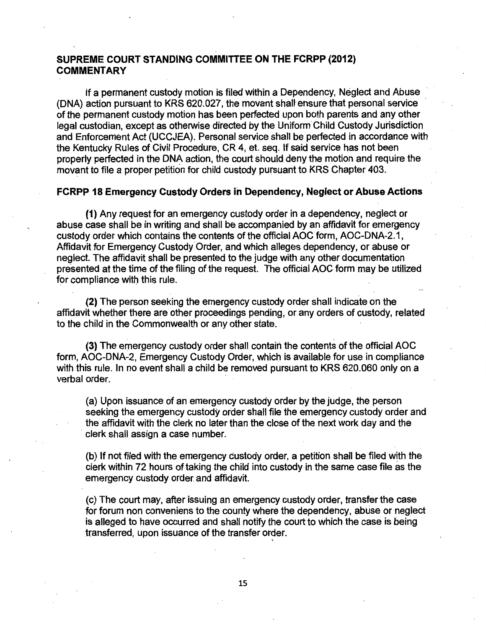# **SUPREME COURT STANDING COMMITTEE ON THE FCRPP (2012) COMMENTARY**

If a permanent custody motion is filed within a Dependency, Neglect and Abuse · (DNA) action pursuant to KRS 620.027, the movant shall· ensure that personal service · of the permanent custody motion has been perfected upon both parents and any other legal custodian, except as otherwise directed by the Uniform· Child Custody Jurisdiction and Enforcement Act (UCCJEA). Personal service shall be perfected in accordance with the Kentucky Rules of Civil Procedure, CR 4, et. seq. If said service has not been properly perfected in the DNA action, the court should deny the motion and require the movant to file a proper petition for child custody pursuant to KRS Chapter 403.

# **FCRPP 18 Emergency Custody Orders in Dependency, Neglect or Abuse Actions**

**(1)** Any request for an emergency custody order in a dependency, neglect or abuse case shall be in writing and shall be. accompanied by an affidavit for emergency custody order which contains the contents of the official AOC form, AOC-DNA-2.1, Affidavit for Emergency Custody Order, and which alleges dependency, or abuse or neglect. The affidavit shall be presented to the judge with any other documentation presented at the time of the filing of the request. The official AOC form may be utilized for compliance with this rule.

**(2)** The person seeking the emergency custody order shall indicate on the affidavit whether there are other proceedings pending, or any orders of custody, related to the child in the Commonwealth or any other state.

(3) The emergency custody order shall contain the contents of the official AOC form, AOC-DNA-2, Emergency Custody Order, which is available for use in compliance with this rule. In no event shall a child be removed pursuant to KRS 620.060 only on a verbal order.

(a) Upon issuance of an emergency custody order by the judge, the person seeking the emergency custody order shall file the emergency custody order and the affidavit with the clerk no later than the close of the next work day and the clerk shall assign a case number.

(b) If not filed with the emergency custody order, a petition shall be filed with the clerk within 72 hours of taking the child into custody in the same case file as the emergency custody order and affidavit.

(c) The court may, after issuing an emergency custody order, transfer the case for forum non conveniens to the county where the dependency, abuse or neglect is alleged to have occurred and shall notify the court to which the case is being transferred, upon issuance of the transfer order.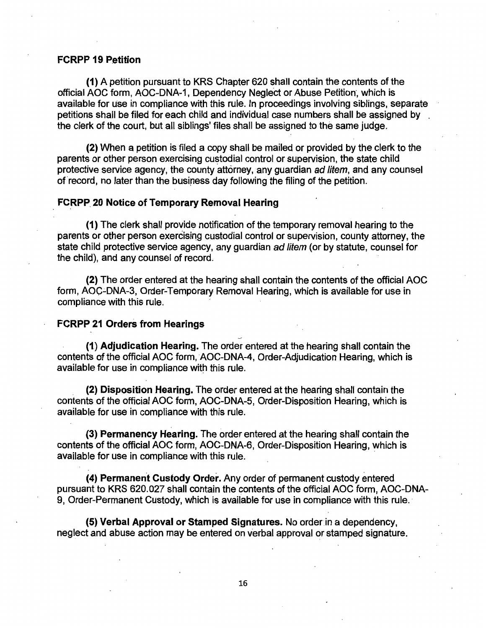## **FCRPP 19 Petition**

**(1) A** petition pursuant to KRS Chapter 620 shall contain the contents of the official AOC form, AOC-DNA-1, Dependency Neglect or Abuse Petition, which is available for use in compliance with this rule. In proceedings involving siblings, separate petitions shall be filed for each child and individual case numbers shall be assigned by the clerk of the court, but all siblings' files shall be assigned to the same judge.

**(2)** When a petition is filed a copy shall be mailed or provided by the clerk to the parents or other person exercising custodial control or supervision, the state child protective service agency, the county attorney, any guardian ad litem, and any counsel of record, no later than the business day following the filing of the petition.

# **FC.RPP. 20 Notice of Temporary Removal Hearing**

**(1)** The clerk shall provide notification of the temporary removal hearing to the parents or other person exercising custodial control or supervision, county attorney, the state child protective service agency, any guardian ad litem (or by statute, counsel for the child), and any counsel of record.

**(2)** The order entered at the hearing shall contain the contents of the official AOC form, AOC-DNA-3, Order-Temporary Removal Hearing, which is available for use in compliance with this rule.

## **FCRPP 21 Orders from Hearings**

**(1.) Adjudication Hearing.** The order entered at the hearing shall contain the contents of the official AOC form, AOC-DNA-4, Order-Adjudication Hearing, which is available for use in compliance with this rule.

**(2) Disposition Hearing.** The order entered at the hearing shall contain the contents of the official AOC form, AOC-DNA-5, Order-Disposition Hearing, which is available for use in compliance with this rule.

(3) **Permanency Hearing.** The order entered at the hearing shall contain the contents of the official AOC form, AOC-DNA-6, Order-Disposition Hearing, which is available for use in compliance with this rule.

**(4) Permanent Custody Order.** Any order of permanent custody entered pursuant to KRS 620.027 shall contain the contents of the official AOC form, AOC-DNA-9, Order-Permanent Custody, which is available for use in compliance with this rule.

**(5) Verbal Approval or Stamped Signatures.** No orderin a dependency, neglect and abuse action may be entered on verbal approval or stamped signature.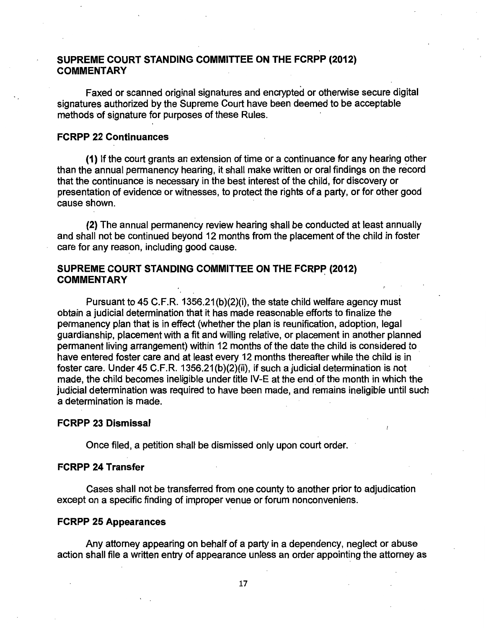# **SUPREME COURT STANDING COMMITTEE ON THE FCRPP (2012) COMMENTARY**

Faxed or scanned original signatures and encrypted or otherwise secure digital signatures authorized by the Supreme Court have been deemed to be acceptable methods of signature for purposes of these Rules.

# **FCRPP 22 Continuances**

**(1)** If the court grants an extension of time or a continuance for any hearing other than the annual permanency hearing, it shall make written or oral findings on the record that the continuance is necessary in the best interest of the child, for discovery or presentation of evidence or witnesses, to protect the rights of a party, or for other good cause shown.

**(2)** The annual permanency review hearing shall be conducted at least annually and shall not be continued beyond 12 months from the placement of the child in foster care for any reason, including good cause.

# **SUPREME COURT STANDING COMMITTEE ON THE FCRPP (2012) COMMENTARY** .

Pursuant to 45 C.F.R. 1356.21(b}(2)(i), the state child welfare agency must obtain a judicial determination that it has made reasonable efforts to finalize the permanency plan that is in effect (whether the plan is reunification, adoption, legal guardianship, placement with a fit and willing relative, or placement in another planned permanent living arrangement) within 12 months of the date the child is considered to have entered foster care and at least every 12 months thereafter while the child is in foster care. Under 45 C.F.R. 1356.21(b)(2)(ii), if such a judicial determination is not made, the child becomes ineligible under title IV-E at the end of the month in which the judicial determination was required to have been made, and remains ineligible until such a determination is made.

## **FCRPP 23 Dismissal**

Once filed, a petition shall be dismissed only upon court order.

# **FCRPP 24 Transfer**

Cases shall not be transferred from *one* county to another prior to adjudication except on a specific finding of improper venue or forum nonconveniens.

## **FCRPP 25 Appearances**

Any attorney appearing on behalf of a party in a dependency, neglect or abuse action shall file a written entry of appearance unless an order appointing the attorney as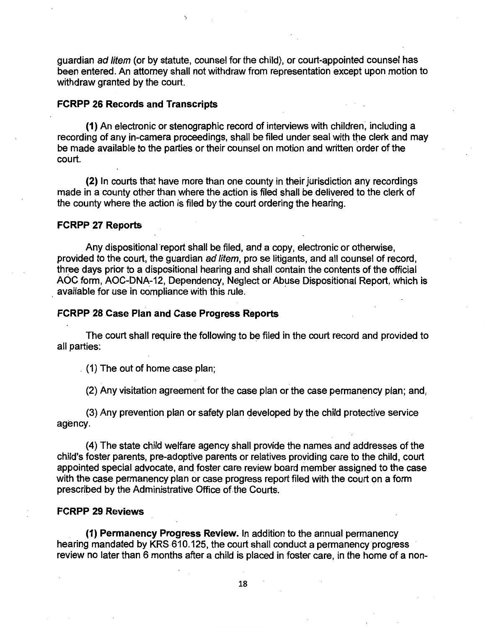guardian ad litem (or by statute, counsel for the child), or court-appointed counsel has been entered. An attorney shall not withdraw from representation except upon motion to withdraw granted by the court.

## FCRPP 26 Records and Transcripts

(1) An electronic or stenographic record of interviews with children; including a recording of any in-camera proceedings, shall be filed under seal with the clerk and may be made available to the parties or their counsel on motion and written order of the court.

(2) In courts that have more than one county in their jurisdiction any recordings made in a county other than where the action is filed shall be delivered to the clerk of the county where the action is filed by the court ordering the hearing.

#### FCRPP 27 Reports

Any dispositional report shall be filed, and a copy, electronic or otherwise, provided to the court, the guardian *ad litem*, pro se litigants, and all counsel of record, three days prior to a dispositional hearing and shall contain the contents of the official AOC form, AOC-DNA-12, Dependency, Neglect or Abuse Dispositional Report, which is available for use in compliance with this rule.

# FCRPP 28 Case Plan and Case Progress Reports

The court shall require the following to be filed in the court record and provided to all parties:

. (1) The out of home case plan;

(2) Any visitation agreement for the case plan or the case permanency plan; and,

(3) Any prevention plan or safety plan developed by the child protective service agency.

(4) The state child welfare agency shall provide the names and addresses of the child's foster parents, pre-adoptive parents or relatives providing care to the child, court appointed special advocate, and foster care review board member assigned to the case with the case permanency plan or case progress report filed with the court on a form prescribed by the Administrative Office of.the Courts.

#### FCRPP 29 Reviews

(1) Permanency Progress Review. In addition to the annual permanency hearing mandated by KRS 610.125, the court shall conduct a permanency progress review no later than 6 months after a child is placed in foster care, in the home of a non-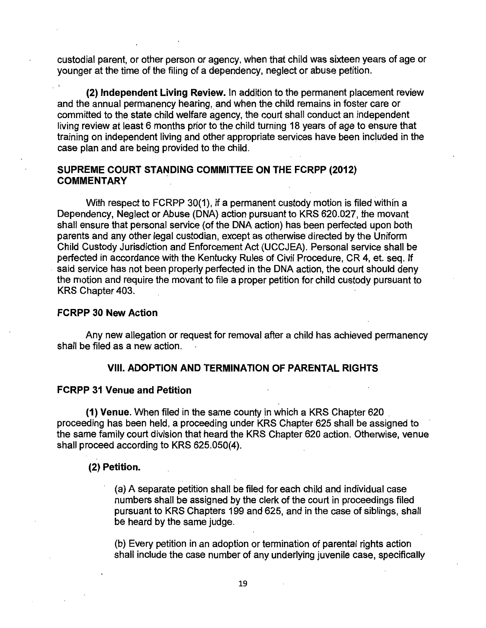custodial parent, or other person or agency, when that child was sixteen years of age or younger at the time of the filing of a dependency, neglect or abuse petition.

**(2) Independent Living Review.** In addition to the permanent placement review and the annual permanency hearing, and when the child remains in foster care or committed to the state child welfare agency, the court shall conduct an independent living review at least 6 months prior to the child turning 18 years of age to ensure that training on independent living and other appropriate services have been included in the case plan and are being provided to the child.

# **SUPREME COURT STANDING COMMITTEE ON THE FCRPP (2012) COMMENTARY** .

With respect to FCRPP 30(1), if a permanent custody motion is filed within a Dependency, Neglect or Abuse (DNA) action pursuant to KRS 620.027, the movant shall ensure that personal service (of the DNA action) has been perfected upon both parents and any other legal custodian, except as otherwise directed by the Uniform Child Custody Jurisdiction and Enforcement Act (UCCJEA). Personal service shall be perfected in accordance with the Kentucky Rules of Civil Procedure, CR 4, et. seq. If said service has not been properly perfected in the DNA action, the court should deny the motion and require the movant to file a proper petition for child custody pursuant to KRS Chapter 403.

## **FCRPP 30 New Action**

Any new allegation or request for removal after a child has achieved permanency shall be filed as a new action.

# VIII. **ADOPTION AND TERMINATION OF PARENTAL RIGHTS**

# **FCRPP 31 Venue and Petition**

**(1) Venue.** When filed in the same county in which a KRS Chapter 620 . proceeding has been held, a proceeding under KRS Chapter 625 shall be assigned to the same family court division that heard the KRS Chapter 620 action. Otherwise, venue shall proceed according to KRS 625.050(4).

# **(2) Petition.**

(a) A separate petition shall be filed for each child and individual case numbers shall be assigned by the clerk of the court in proceedings filed pursuant to KRS Chapters 199 and 625, and in the case of siblings, shall be heard by the same judge.

(b) Every petition in an adoption or termination of parental rights action shall include the case number of any underlying juvenile case, specifically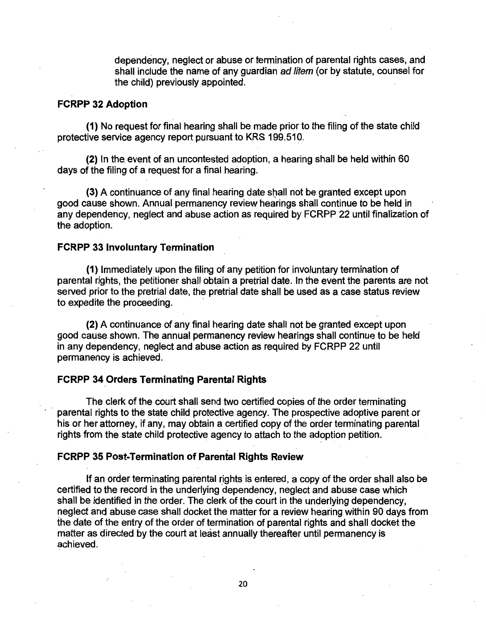dependency, neglect or abuse or termination of parental rights cases, and shall include the name of any quardian ad litem (or by statute, counsel for the child) previously appointed.

## FCRPP 32 Adoption

(1) No request for final hearing shall be made prior to the filing of the state child protective service agency report pursuant to KRS 199.510.

(2) In the. event of an uncontested adoption, a hearing shall be held within 60 days of the filing of a request for a final hearing.

(3) A continuance of any final hearing date shall not be granted except upon good cause shown. Annual permanency review hearings shall continue to be held in any dependency, neglect and abuse action as required by FCRPP 22 until finalization of the adoption.

## FCRPP 33 Involuntary Termination

(1) Immediately upon the filing of any petition for.involuntary termination of parental rights, the petitioner shall obtain a pretrial date. In the event the parents are not served prior to the pretrial date, the pretrial date shall be used as a case status review to expedite the proceeding.

(2) A continuance of any final hearing date shall not be granted except upon good cause. shown. The annual permanency review hearings shall continue to be held in any dependency, neglect and abuse action as required by FCRPP 22 until permanency is achieved.

# FCRPP 34 Orders Terminating Parental Rights

The clerk of the court shall send two certified copies of the order terminating parental rights to the state child protective agency. The prospective adoptive parent or his or her attorney, if any, may obtain a certified copy of the order terminating parental rights from the state child protective agency to attach to the adoption petition.

## FCRPP 35 Post-Termination of Parental Rights Review

If an order terminating parental rights is entered, a copy of the order shall also be certified to the record in the underlying 'dependency, neglect and abuse case which shall be identified in the order. The clerk of the court in the underlying dependency, neglect and abuse case shall docket the matter for a review hearing within 90 days from the date of the entry of the order of termination of parental rights and shall docket the matter as directed by the court at least annually thereafter until permanency is achieved.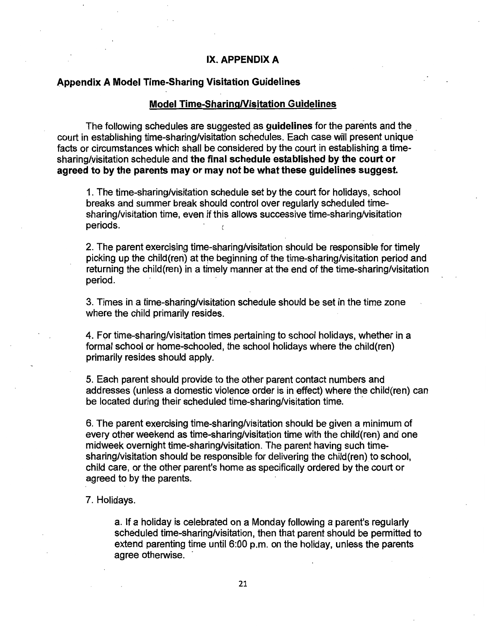# IX. **APPENDIX A**

# **Appendix A Model Time-Sharing Visitation Guidelines**

#### **Model Time-SharingNisitation Guidelines**

The following schedules are suggested. as **guidelines** for the parents and the . court in establishing time-sharing/visitation schedules. Each case will present unique facts or circumstances which shall be considered by the court in establishing a timesharing/visitation schedule and **the final schedule established by the court or agreed to by the parents may or may not be what these guidelines suggest.** 

1. The time-sharing/visitation schedule set by the court for holidays, school breaks and summer break should control over regularly scheduled timesharing/visitation time, even if this allows successive time-sharing/visitation periods.

2. The parent exercising time-sharing/visitation should be responsible for timely picking up the child(reri) at the beginning of the time-sharing/visitation period and returning the child(ren) in a timely manner at the end of the time-sharing/visitation period.

3. Times in a time-sharing/visitation schedule should be set in the time zone where the child primarily resides.

4. For time-sharing/visitation times pertaining to school holidays, whether in a formal school or home-schooled, the school holidays where the child(ren) primarily resides should apply.

5. Each parent should provide to the other parent contact numbers and addresses (unless a domestic violence order is in effect) where the child(ren) can be located during their scheduled time-sharing/visitation time.

6. The parent exercising time-sharing/visitation should be given a minimum of every other weekend as time-sharing/visitation time with the child(ren) and one midweek overnight time-sharing/visitation. The parent having such timesharing/visitation should be responsible for delivering the child(ren) to school, child care, or the other parent's home as specifically ordered by the court or agreed to by the parents.

## 7. Holidays.

a. If a holiday is celebrated on a Monday following a parent's regularly scheduled time-sharing/visitation, then that parent should be permitted to extend parenting time until 6:00 p.m. on the holiday, unless the parents agree otherwise.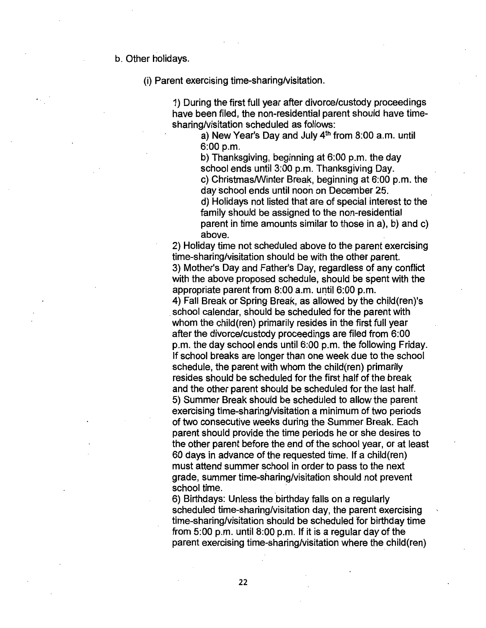b. Other holidays.

(i) Parent exercising time-sharing/visitation.

1) During the first full year after divorce/custody proceedings have been filed, the non-residential parent should have timesharing/visitation scheduled as follows:

> a) New Year's Day and July  $4<sup>th</sup>$  from 8:00 a.m. until 6:00 p.m.

b) Thanksgiving, beginning at 6:00 p.m. the day school ends until 3:00 p.m. Thanksgiving Day. c) Christmas/Winter Break, beginning at 6:00 p.m. the day school ends until noon on December 25. d) Holidays not listed that are of special interest to the family should be assigned to the non-residential parent in time amounts similar to those in a), b) and c) above.

2) Holiday time not scheduled above to the parent exercising time-sharing/visitation should be with the other parent. 3) Mother's Day and Father's Day, regardless of any conflict with the above proposed schedule, should be spent with the appropriate parent from  $8:00$  a.m. until  $6:00$  p.m.

4) Fall Break or Spring Break, as allowed by the child(ren)'s school calendar, should be scheduled for the parent with whom the child(ren) primarily resides in the first full year after the divorce/custody proceedings are filed from 6:00 p.m. the day school ends until 6:00 p.m. the following Friday. If school breaks are longer than one week due to the school schedule, the parent with whom the child(ren) primarily resides should be scheduled for the first half of the break and the other parent should be scheduled for the last half. 5) Summer Break should be scheduled to allow the parent exercising time-sharing/visitation a minimum of two periods of two consecutive weeks during the Summer Break. Each parent should provide the time periods he or she desires to the other parent before the end of the school year, or at least 60 days in advance of the requested time. If a child(ren) must attend summer school in order to pass to the next grade, summer time-sharing/visitation should not prevent school time.

6) Birthdays: Unless the birthday falls on a regularly scheduled time-sharing/visitation day, the parent exercising time-sharing/visitation should be scheduled for birthday time from 5:00 p.m. until 8:00 p.m. If it is a regular day of the parent exercising time-sharing/visitation where the child(ren)